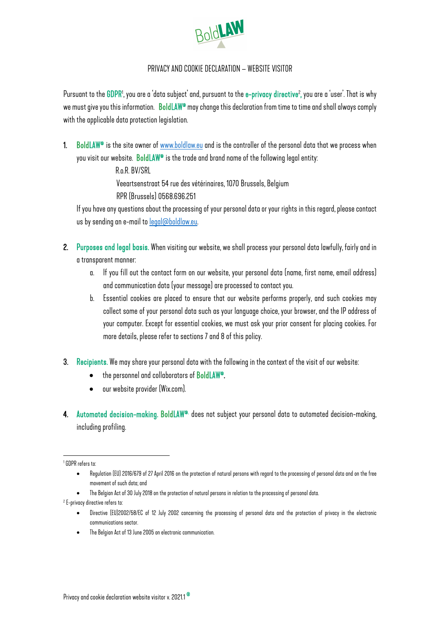

## PRIVACYAND COOKIE DECLARATION – WEBSITE VISITOR

Pursuant to the GDPR1, you are a 'data subject' and, pursuant to the e–privacy directive<sup>2</sup>, you are a 'user'. That is why we must give you this information. BoldLAW® may change this declaration from time to time and shall always comply with the applicable data protection legislation.

1. BoldLAW® is the site owner of <u>www.boldlaw.eu</u> and is the controller of the personal data that we process when you visit our website. BoldLAW® is the trade and brand name of the following legal entity:

R.o.R. BV/SRL

Veeartsenstraat 54rue des vétérinaires, 1070 Brussels, Belgium

RPR (Brussels) 0568.696.251

If you have any questions about the processing of your personal data or your rights in this regard, please contact us by sending an e-mail to legal@boldlaw.eu.

- 2. Purposes and legal basis. When visiting our website, we shall process your personal data lawfully, fairly and in a transparent manner:
	- a. If you fill out the contact form on our website, your personal data (name, first name, email address) and communication data (your message) are processed to contact you.
	- b. Essential cookies are placed to ensure that our website performs properly, and such cookies may collect some of your personal data such as your language choice, your browser, and the IP address of your computer. Except for essential cookies, we must ask your prior consent for placing cookies. For more details, please refer to sections 7 and 8 of this policy.
- 3. Recipients. We may share your personal data with the following in the context of the visit of our website:
	- the personnel and collaborators of BoldLAW®.
	- our website provider (Wix.com).

4. Automated decision-making. BoldLAW® does not subject your personal data to automated decision-making, including profiling.

1 GDPR refers to:

<sup>2</sup> E-privacy directive refers to:

• The Belgian Act of 13 June 2005 on electronic communication.

<sup>•</sup> Regulation (EU) 2016/679 of 27 April 2016 on the protection of natural persons with regard to the processing of personal data and on the free movement of such data; and

The Belgian Act of 30 July 2018 on the protection of natural persons in relation to the processing of personal data.

<sup>•</sup> Directive (EU)2002/58/EC of 12 July 2002 concerning the processing of personal data and the protection of privacy in the electronic communications sector.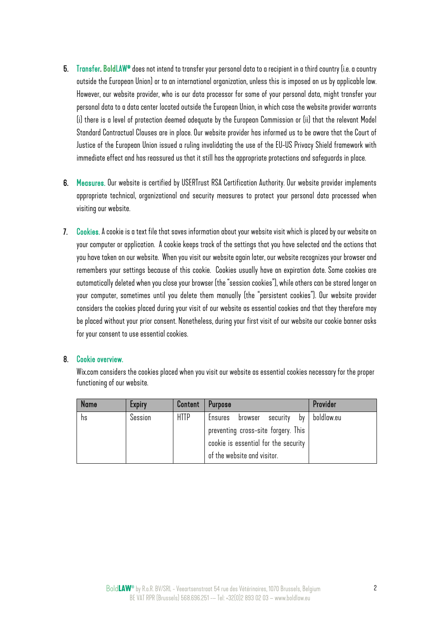- 5. Transfer. BoldLAW® does not intend to transfer your personal data to a recipient in a third country (i.e. a country outside the European Union) or to an international organization, unless this is imposed on us by applicable law. However, our website provider, who is our data processor for some of your personal data, might transfer your personal data to a data center located outside the European Union, in which case the website provider warrants (i) there is a level of protection deemed adequate by the European Commission or (ii) that the relevant Model Standard Contractual Clauses are in place. Our website provider has informed us to be aware that the Court of Justice of the European Union issued a ruling invalidating the use of the EU-US Privacy Shield framework with immediate effect and has reassured us that it still has the appropriate protections and safeguards in place.
- 6. Measures. Our website is certified by USERTrust RSA Certification Authority. Our website provider implements appropriate technical, organizational and security measures to protect your personal data processed when visiting our website.
- 7. Cookies. A cookie is a text file that saves information about your website visit which is placed by our website on your computer or application. A cookie keeps track of the settings that you have selected and the actions that you have taken on our website. When you visit our website again later, our website recognizes your browser and remembers your settings because of this cookie. Cookies usually have an expiration date. Some cookies are automatically deleted when you close your browser (the "session cookies"), while others can be stored longer on your computer, sometimes until you delete them manually (the "persistent cookies"). Our website provider considers the cookies placed during your visit of our website as essential cookies and that they therefore may be placed without your prior consent. Nonetheless, during your first visit of our website our cookie banner asks for your consent to use essential cookies.

## 8. Cookie overview.

Wix.com considers the cookies placed when you visit our website as essential cookies necessary for the proper functioning of our website.

| <b>Name</b> | <b>Expiry</b> | Content     | <b>Purpose</b>                       | Provider   |
|-------------|---------------|-------------|--------------------------------------|------------|
| hs          | Session       | <b>HTTP</b> | security by<br>Ensures browser       | boldlaw.eu |
|             |               |             | preventing cross-site forgery. This  |            |
|             |               |             | cookie is essential for the security |            |
|             |               |             | of the website and visitor.          |            |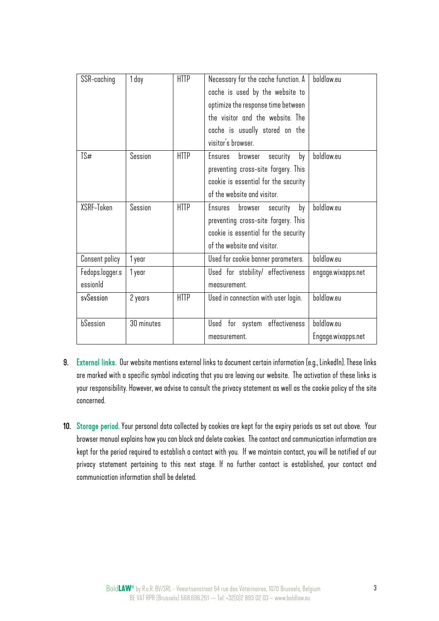| SSR-caching                 | 1 day      | <b>HTTP</b> | Necessary for the cache function. A<br>cache is used by the website to<br>optimize the response time between<br>the visitor and the website. The<br>cache is usually stored on the<br>visitor's browser. | boldlaw.eu                       |
|-----------------------------|------------|-------------|----------------------------------------------------------------------------------------------------------------------------------------------------------------------------------------------------------|----------------------------------|
| TS#                         | Session    | <b>HTTP</b> | Ensures<br>browser<br>by<br>security<br>preventing cross-site forgery. This<br>cookie is essential for the security<br>of the website and visitor.                                                       | boldlaw.eu                       |
| XSRF-Token                  | Session    | <b>HTTP</b> | Ensures<br>browser<br>by<br>security<br>preventing cross-site forgery. This<br>cookie is essential for the security<br>of the website and visitor.                                                       | boldlaw.eu                       |
| Consent policy              | 1 year     |             | Used for cookie banner parameters.                                                                                                                                                                       | boldlaw.eu                       |
| Fedops.logger.s<br>essionId | 1 year     |             | Used for stability/ effectiveness<br>measurement.                                                                                                                                                        | engage.wixapps.net               |
| svSession                   | 2 years    | <b>HTTP</b> | Used in connection with user login.                                                                                                                                                                      | boldlaw.eu                       |
| bSession                    | 30 minutes |             | effectiveness<br>Used for system<br>measurement.                                                                                                                                                         | boldlaw.eu<br>Engage.wixapps.net |

- 9. External links. Our website mentions external links to document certain information (e.g., LinkedIn). These links are marked with a specific symbol indicating that you are leaving our website. The activation of these links is your responsibility. However, we advise to consult the privacy statement as well as the cookie policy of the site concerned.
- 10. Storage period. Your personal data collected by cookies are kept for the expiry periods as set out above. Your browser manual explains how you can block and delete cookies. The contact and communication information are kept for the period required to establish a contact with you. If we maintain contact, you will be notified of our privacy statement pertaining to this next stage. If no further contact is established, your contact and communication information shall be deleted.